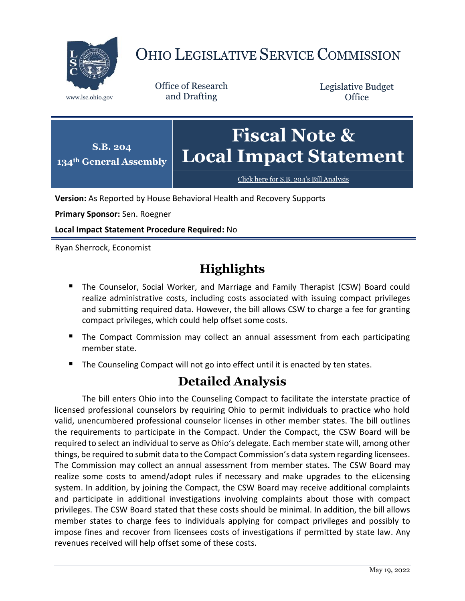

## OHIO LEGISLATIVE SERVICE COMMISSION

Office of Research www.lsc.ohio.gov and Drafting

Legislative Budget **Office** 



[Click here for S.B. 204](https://www.legislature.ohio.gov/legislation/legislation-documents?id=GA134-SB-204)'s Bill Analysis

**Version:** As Reported by House Behavioral Health and Recovery Supports

**Primary Sponsor:** Sen. Roegner

**Local Impact Statement Procedure Required:** No

Ryan Sherrock, Economist

## **Highlights**

- **The Counselor, Social Worker, and Marriage and Family Therapist (CSW) Board could** realize administrative costs, including costs associated with issuing compact privileges and submitting required data. However, the bill allows CSW to charge a fee for granting compact privileges, which could help offset some costs.
- **The Compact Commission may collect an annual assessment from each participating** member state.
- The Counseling Compact will not go into effect until it is enacted by ten states.

## **Detailed Analysis**

The bill enters Ohio into the Counseling Compact to facilitate the interstate practice of licensed professional counselors by requiring Ohio to permit individuals to practice who hold valid, unencumbered professional counselor licenses in other member states. The bill outlines the requirements to participate in the Compact. Under the Compact, the CSW Board will be required to select an individual to serve as Ohio's delegate. Each member state will, among other things, be required to submit data to the Compact Commission's data system regarding licensees. The Commission may collect an annual assessment from member states. The CSW Board may realize some costs to amend/adopt rules if necessary and make upgrades to the eLicensing system. In addition, by joining the Compact, the CSW Board may receive additional complaints and participate in additional investigations involving complaints about those with compact privileges. The CSW Board stated that these costs should be minimal. In addition, the bill allows member states to charge fees to individuals applying for compact privileges and possibly to impose fines and recover from licensees costs of investigations if permitted by state law. Any revenues received will help offset some of these costs.